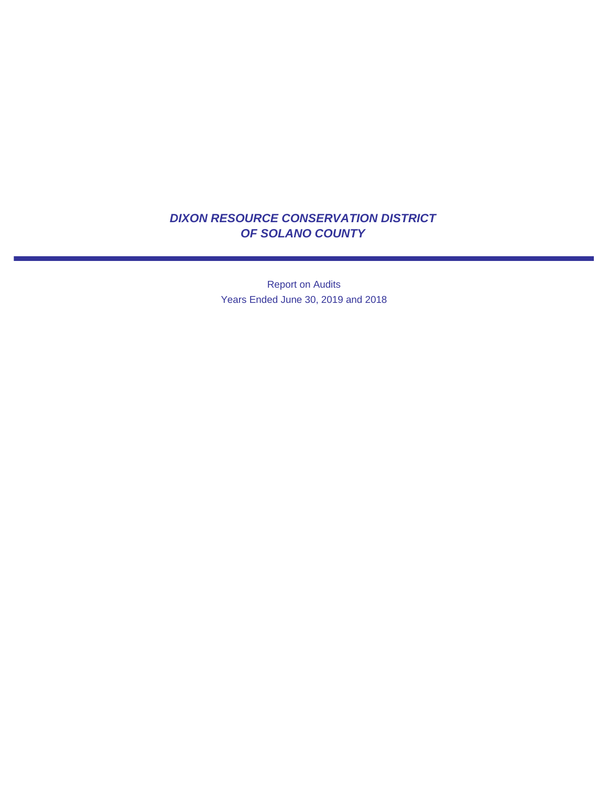Report on Audits Years Ended June 30, 2019 and 2018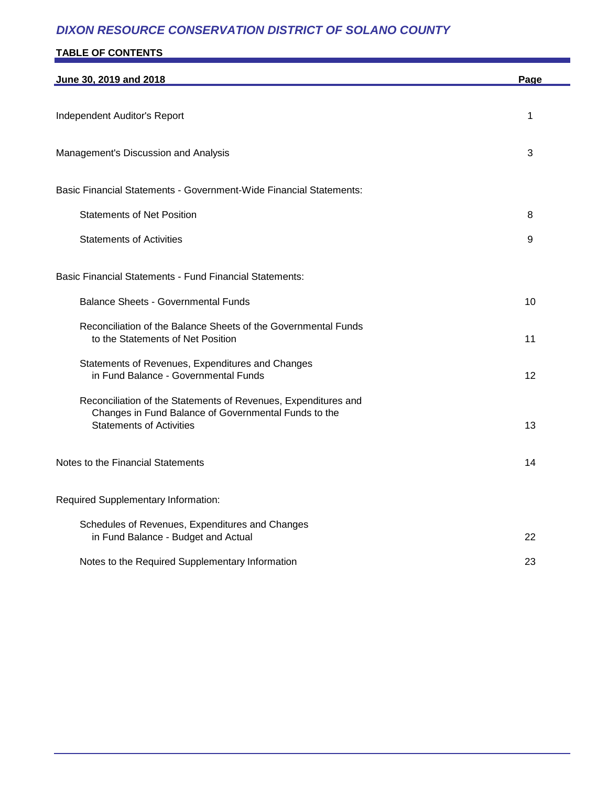| <b>TABLE OF CONTENTS</b>                                                                                               |      |
|------------------------------------------------------------------------------------------------------------------------|------|
| June 30, 2019 and 2018                                                                                                 | Page |
| Independent Auditor's Report                                                                                           | 1    |
| Management's Discussion and Analysis                                                                                   | 3    |
| Basic Financial Statements - Government-Wide Financial Statements:                                                     |      |
| <b>Statements of Net Position</b>                                                                                      | 8    |
| <b>Statements of Activities</b>                                                                                        | 9    |
| <b>Basic Financial Statements - Fund Financial Statements:</b>                                                         |      |
| <b>Balance Sheets - Governmental Funds</b>                                                                             | 10   |
| Reconciliation of the Balance Sheets of the Governmental Funds<br>to the Statements of Net Position                    | 11   |
| Statements of Revenues, Expenditures and Changes<br>in Fund Balance - Governmental Funds                               | 12   |
| Reconciliation of the Statements of Revenues, Expenditures and<br>Changes in Fund Balance of Governmental Funds to the |      |
| <b>Statements of Activities</b>                                                                                        | 13   |
| Notes to the Financial Statements                                                                                      | 14   |
| Required Supplementary Information:                                                                                    |      |
| Schedules of Revenues, Expenditures and Changes<br>in Fund Balance - Budget and Actual                                 | 22   |
| Notes to the Required Supplementary Information                                                                        | 23   |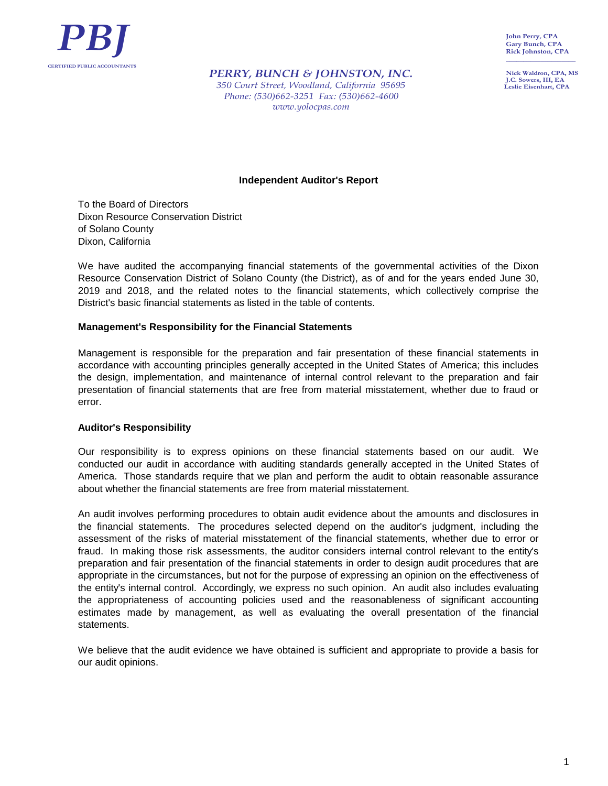

**Gary Bunch, CPA Rick Johnston, CPA \_\_\_\_\_\_\_\_\_\_\_\_\_\_\_\_\_\_\_\_**

*PERRY, BUNCH & JOHNSTON, INC.*

*350 Court Street, Woodland, California 95695 Phone: (530)662-3251 Fax: (530)662-4600 www.yolocpas.com*

**Nick Waldron, CPA, MS J.C. Sowers, III, EA Leslie Eisenhart, CPA**

## **Independent Auditor's Report**

To the Board of Directors Dixon Resource Conservation District of Solano County Dixon, California

We have audited the accompanying financial statements of the governmental activities of the Dixon Resource Conservation District of Solano County (the District), as of and for the years ended June 30, 2019 and 2018, and the related notes to the financial statements, which collectively comprise the District's basic financial statements as listed in the table of contents.

## **Management's Responsibility for the Financial Statements**

Management is responsible for the preparation and fair presentation of these financial statements in accordance with accounting principles generally accepted in the United States of America; this includes the design, implementation, and maintenance of internal control relevant to the preparation and fair presentation of financial statements that are free from material misstatement, whether due to fraud or error.

## **Auditor's Responsibility**

Our responsibility is to express opinions on these financial statements based on our audit. We conducted our audit in accordance with auditing standards generally accepted in the United States of America. Those standards require that we plan and perform the audit to obtain reasonable assurance about whether the financial statements are free from material misstatement.

An audit involves performing procedures to obtain audit evidence about the amounts and disclosures in the financial statements. The procedures selected depend on the auditor's judgment, including the assessment of the risks of material misstatement of the financial statements, whether due to error or fraud. In making those risk assessments, the auditor considers internal control relevant to the entity's preparation and fair presentation of the financial statements in order to design audit procedures that are appropriate in the circumstances, but not for the purpose of expressing an opinion on the effectiveness of the entity's internal control. Accordingly, we express no such opinion. An audit also includes evaluating the appropriateness of accounting policies used and the reasonableness of significant accounting estimates made by management, as well as evaluating the overall presentation of the financial statements.

We believe that the audit evidence we have obtained is sufficient and appropriate to provide a basis for our audit opinions.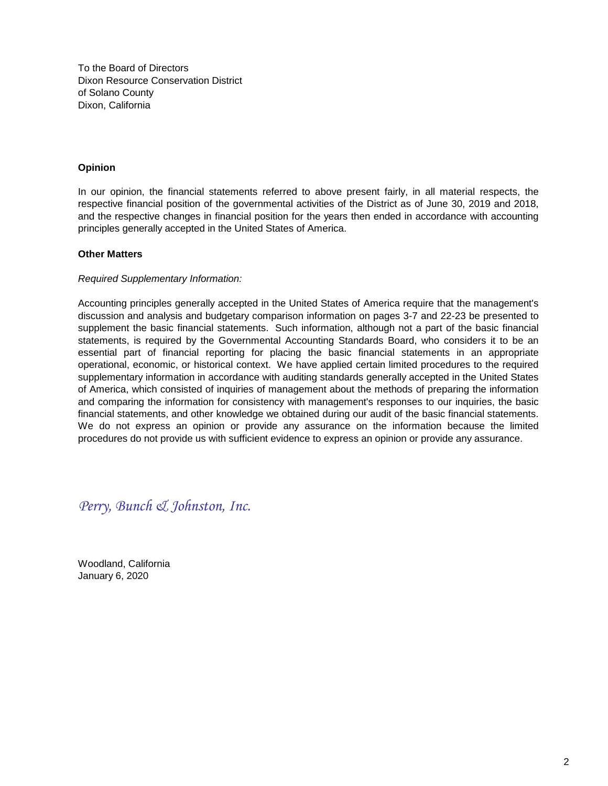To the Board of Directors Dixon Resource Conservation District of Solano County Dixon, California

## **Opinion**

In our opinion, the financial statements referred to above present fairly, in all material respects, the respective financial position of the governmental activities of the District as of June 30, 2019 and 2018, and the respective changes in financial position for the years then ended in accordance with accounting principles generally accepted in the United States of America.

## **Other Matters**

## *Required Supplementary Information:*

Accounting principles generally accepted in the United States of America require that the management's discussion and analysis and budgetary comparison information on pages 3-7 and 22-23 be presented to supplement the basic financial statements. Such information, although not a part of the basic financial statements, is required by the Governmental Accounting Standards Board, who considers it to be an essential part of financial reporting for placing the basic financial statements in an appropriate operational, economic, or historical context. We have applied certain limited procedures to the required supplementary information in accordance with auditing standards generally accepted in the United States of America, which consisted of inquiries of management about the methods of preparing the information and comparing the information for consistency with management's responses to our inquiries, the basic financial statements, and other knowledge we obtained during our audit of the basic financial statements. We do not express an opinion or provide any assurance on the information because the limited procedures do not provide us with sufficient evidence to express an opinion or provide any assurance.

*Perry, Bunch & Johnston, Inc.*

Woodland, California January 6, 2020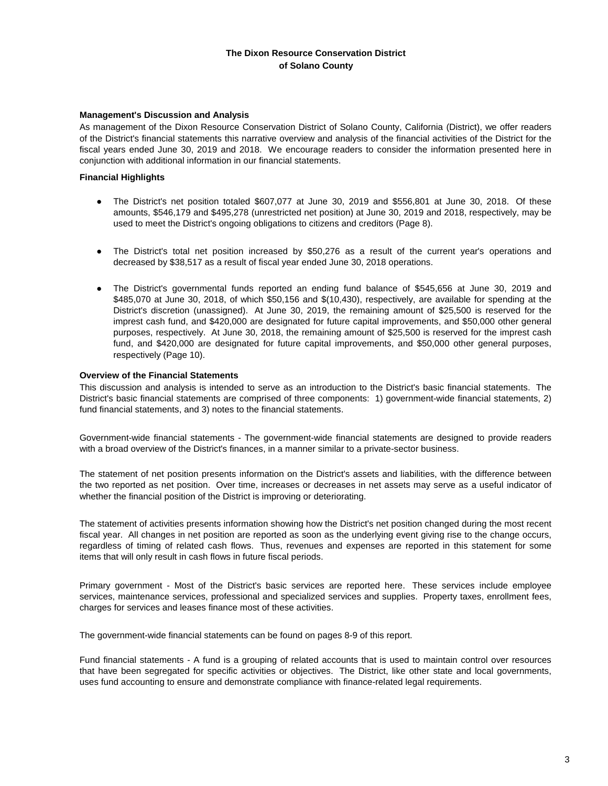#### **The Dixon Resource Conservation District of Solano County**

#### **Management's Discussion and Analysis**

As management of the Dixon Resource Conservation District of Solano County, California (District), we offer readers of the District's financial statements this narrative overview and analysis of the financial activities of the District for the fiscal years ended June 30, 2019 and 2018. We encourage readers to consider the information presented here in conjunction with additional information in our financial statements.

#### **Financial Highlights**

- The District's net position totaled \$607,077 at June 30, 2019 and \$556,801 at June 30, 2018. Of these amounts, \$546,179 and \$495,278 (unrestricted net position) at June 30, 2019 and 2018, respectively, may be used to meet the District's ongoing obligations to citizens and creditors (Page 8).
- $\bullet$ The District's total net position increased by \$50,276 as a result of the current year's operations and decreased by \$38,517 as a result of fiscal year ended June 30, 2018 operations.
- $\bullet$ The District's governmental funds reported an ending fund balance of \$545,656 at June 30, 2019 and \$485,070 at June 30, 2018, of which \$50,156 and \$(10,430), respectively, are available for spending at the District's discretion (unassigned). At June 30, 2019, the remaining amount of \$25,500 is reserved for the imprest cash fund, and \$420,000 are designated for future capital improvements, and \$50,000 other general purposes, respectively. At June 30, 2018, the remaining amount of \$25,500 is reserved for the imprest cash fund, and \$420,000 are designated for future capital improvements, and \$50,000 other general purposes, respectively (Page 10).

#### **Overview of the Financial Statements**

This discussion and analysis is intended to serve as an introduction to the District's basic financial statements. The District's basic financial statements are comprised of three components: 1) government-wide financial statements, 2) fund financial statements, and 3) notes to the financial statements.

Government-wide financial statements - The government-wide financial statements are designed to provide readers with a broad overview of the District's finances, in a manner similar to a private-sector business.

The statement of net position presents information on the District's assets and liabilities, with the difference between the two reported as net position. Over time, increases or decreases in net assets may serve as a useful indicator of whether the financial position of the District is improving or deteriorating.

The statement of activities presents information showing how the District's net position changed during the most recent fiscal year. All changes in net position are reported as soon as the underlying event giving rise to the change occurs, regardless of timing of related cash flows. Thus, revenues and expenses are reported in this statement for some items that will only result in cash flows in future fiscal periods.

Primary government - Most of the District's basic services are reported here. These services include employee services, maintenance services, professional and specialized services and supplies. Property taxes, enrollment fees, charges for services and leases finance most of these activities.

The government-wide financial statements can be found on pages 8-9 of this report.

Fund financial statements - A fund is a grouping of related accounts that is used to maintain control over resources that have been segregated for specific activities or objectives. The District, like other state and local governments, uses fund accounting to ensure and demonstrate compliance with finance-related legal requirements.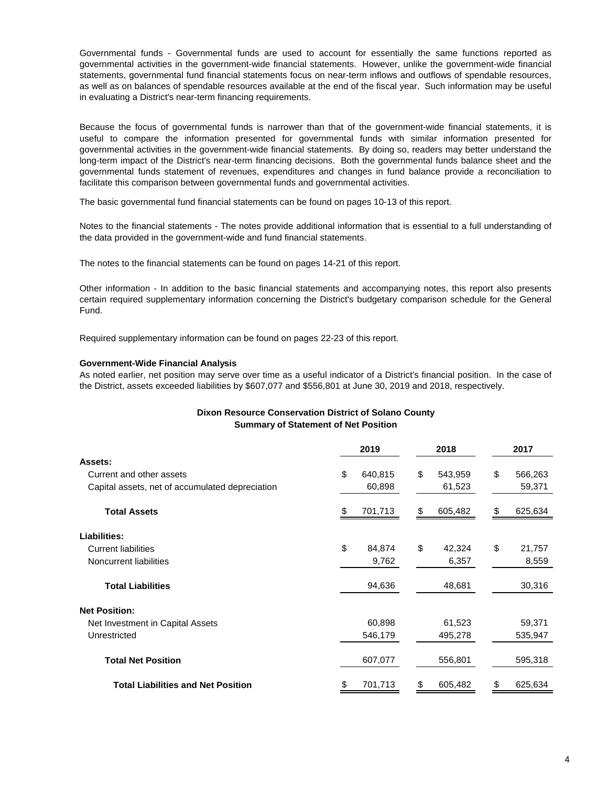Governmental funds - Governmental funds are used to account for essentially the same functions reported as governmental activities in the government-wide financial statements. However, unlike the government-wide financial statements, governmental fund financial statements focus on near-term inflows and outflows of spendable resources, as well as on balances of spendable resources available at the end of the fiscal year. Such information may be useful in evaluating a District's near-term financing requirements.

Because the focus of governmental funds is narrower than that of the government-wide financial statements, it is useful to compare the information presented for governmental funds with similar information presented for governmental activities in the government-wide financial statements. By doing so, readers may better understand the long-term impact of the District's near-term financing decisions. Both the governmental funds balance sheet and the governmental funds statement of revenues, expenditures and changes in fund balance provide a reconciliation to facilitate this comparison between governmental funds and governmental activities.

The basic governmental fund financial statements can be found on pages 10-13 of this report.

Notes to the financial statements - The notes provide additional information that is essential to a full understanding of the data provided in the government-wide and fund financial statements.

The notes to the financial statements can be found on pages 14-21 of this report.

Other information - In addition to the basic financial statements and accompanying notes, this report also presents certain required supplementary information concerning the District's budgetary comparison schedule for the General Fund.

Required supplementary information can be found on pages 22-23 of this report.

#### **Government-Wide Financial Analysis**

As noted earlier, net position may serve over time as a useful indicator of a District's financial position. In the case of the District, assets exceeded liabilities by \$607,077 and \$556,801 at June 30, 2019 and 2018, respectively.

## **Summary of Statement of Net Position Dixon Resource Conservation District of Solano County**

|                                                 | 2019          |    | 2018    |    | 2017    |
|-------------------------------------------------|---------------|----|---------|----|---------|
| Assets:                                         |               |    |         |    |         |
| Current and other assets                        | \$<br>640,815 | \$ | 543,959 | \$ | 566,263 |
| Capital assets, net of accumulated depreciation | 60,898        |    | 61,523  |    | 59,371  |
| <b>Total Assets</b>                             | 701,713       | \$ | 605,482 | \$ | 625,634 |
| <b>Liabilities:</b>                             |               |    |         |    |         |
| <b>Current liabilities</b>                      | \$<br>84,874  | \$ | 42,324  | \$ | 21,757  |
| Noncurrent liabilities                          | 9,762         |    | 6,357   |    | 8,559   |
| <b>Total Liabilities</b>                        | 94,636        |    | 48,681  |    | 30,316  |
| <b>Net Position:</b>                            |               |    |         |    |         |
| Net Investment in Capital Assets                | 60,898        |    | 61,523  |    | 59,371  |
| Unrestricted                                    | 546,179       |    | 495,278 |    | 535,947 |
| <b>Total Net Position</b>                       | 607,077       |    | 556,801 |    | 595,318 |
| <b>Total Liabilities and Net Position</b>       | 701,713       | S  | 605,482 | S  | 625,634 |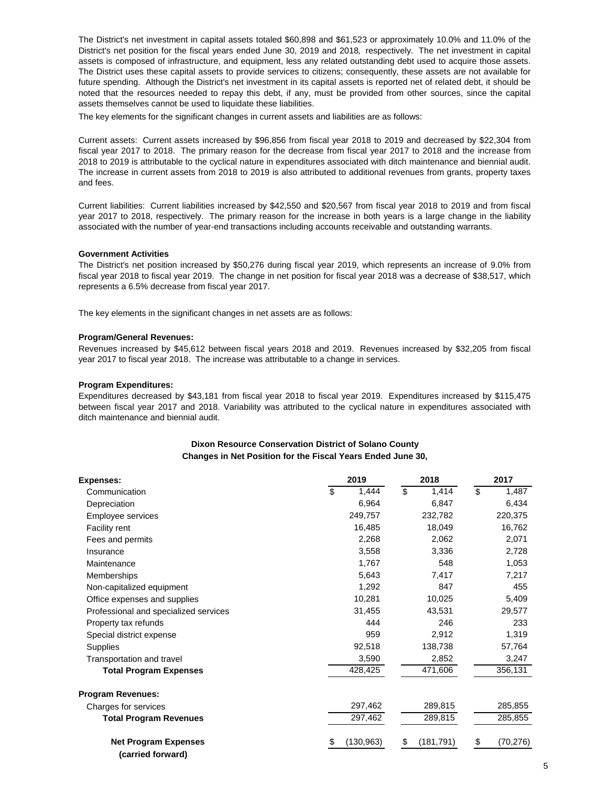The District's net investment in capital assets totaled \$60,898 and \$61,523 or approximately 10.0% and 11.0% of the District's net position for the fiscal years ended June 30, 2019 and 2018*,* respectively. The net investment in capital assets is composed of infrastructure, and equipment, less any related outstanding debt used to acquire those assets. The District uses these capital assets to provide services to citizens; consequently, these assets are not available for future spending. Although the District's net investment in its capital assets is reported net of related debt, it should be noted that the resources needed to repay this debt, if any, must be provided from other sources, since the capital assets themselves cannot be used to liquidate these liabilities.

The key elements for the significant changes in current assets and liabilities are as follows:

Current assets: Current assets increased by \$96,856 from fiscal year 2018 to 2019 and decreased by \$22,304 from fiscal year 2017 to 2018. The primary reason for the decrease from fiscal year 2017 to 2018 and the increase from 2018 to 2019 is attributable to the cyclical nature in expenditures associated with ditch maintenance and biennial audit. The increase in current assets from 2018 to 2019 is also attributed to additional revenues from grants, property taxes and fees.

Current liabilities: Current liabilities increased by \$42,550 and \$20,567 from fiscal year 2018 to 2019 and from fiscal year 2017 to 2018, respectively. The primary reason for the increase in both years is a large change in the liability associated with the number of year-end transactions including accounts receivable and outstanding warrants.

#### **Government Activities**

The District's net position increased by \$50,276 during fiscal year 2019, which represents an increase of 9.0% from fiscal year 2018 to fiscal year 2019. The change in net position for fiscal year 2018 was a decrease of \$38,517, which represents a 6.5% decrease from fiscal year 2017.

The key elements in the significant changes in net assets are as follows:

#### **Program/General Revenues:**

Revenues increased by \$45,612 between fiscal years 2018 and 2019. Revenues increased by \$32,205 from fiscal year 2017 to fiscal year 2018. The increase was attributable to a change in services.

#### **Program Expenditures:**

Expenditures decreased by \$43,181 from fiscal year 2018 to fiscal year 2019. Expenditures increased by \$115,475 between fiscal year 2017 and 2018. Variability was attributed to the cyclical nature in expenditures associated with ditch maintenance and biennial audit.

#### **Dixon Resource Conservation District of Solano County Changes in Net Position for the Fiscal Years Ended June 30,**

| <b>Expenses:</b>                      | 2019            | 2018             | 2017            |
|---------------------------------------|-----------------|------------------|-----------------|
| Communication                         | \$<br>1,444     | \$<br>1,414      | \$<br>1,487     |
| Depreciation                          | 6,964           | 6,847            | 6,434           |
| Employee services                     | 249,757         | 232,782          | 220,375         |
| Facility rent                         | 16,485          | 18,049           | 16,762          |
| Fees and permits                      | 2,268           | 2,062            | 2,071           |
| Insurance                             | 3,558           | 3,336            | 2,728           |
| Maintenance                           | 1,767           | 548              | 1,053           |
| Memberships                           | 5,643           | 7,417            | 7,217           |
| Non-capitalized equipment             | 1,292           | 847              | 455             |
| Office expenses and supplies          | 10,281          | 10,025           | 5,409           |
| Professional and specialized services | 31,455          | 43,531           | 29,577          |
| Property tax refunds                  | 444             | 246              | 233             |
| Special district expense              | 959             | 2,912            | 1,319           |
| <b>Supplies</b>                       | 92,518          | 138,738          | 57,764          |
| Transportation and travel             | 3,590           | 2,852            | 3,247           |
| <b>Total Program Expenses</b>         | 428,425         | 471,606          | 356,131         |
| <b>Program Revenues:</b>              |                 |                  |                 |
| Charges for services                  | 297,462         | 289,815          | 285,855         |
| <b>Total Program Revenues</b>         | 297,462         | 289,815          | 285,855         |
| <b>Net Program Expenses</b>           | (130, 963)<br>S | \$<br>(181, 791) | \$<br>(70, 276) |
| (carried forward)                     |                 |                  |                 |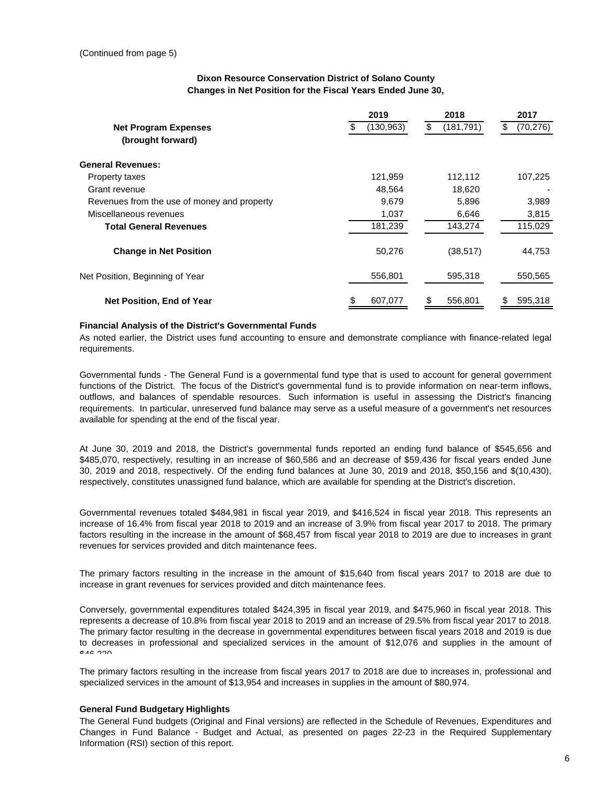#### **Dixon Resource Conservation District of Solano County Changes in Net Position for the Fiscal Years Ended June 30,**

|                                             | 2019            | 2018             | 2017           |
|---------------------------------------------|-----------------|------------------|----------------|
| <b>Net Program Expenses</b>                 | (130, 963)<br>S | \$<br>(181, 791) | (70, 276)<br>S |
| (brought forward)                           |                 |                  |                |
| <b>General Revenues:</b>                    |                 |                  |                |
| Property taxes                              | 121,959         | 112,112          | 107,225        |
| Grant revenue                               | 48,564          | 18,620           |                |
| Revenues from the use of money and property | 9,679           | 5,896            | 3,989          |
| Miscellaneous revenues                      | 1,037           | 6,646            | 3,815          |
| <b>Total General Revenues</b>               | 181,239         | 143,274          | 115,029        |
| <b>Change in Net Position</b>               | 50,276          | (38, 517)        | 44,753         |
| Net Position, Beginning of Year             | 556,801         | 595,318          | 550,565        |
| <b>Net Position, End of Year</b>            | 607.077<br>S    | 556.801<br>S     | 595,318<br>S   |

#### **Financial Analysis of the District's Governmental Funds**

As noted earlier, the District uses fund accounting to ensure and demonstrate compliance with finance-related legal requirements.

Governmental funds - The General Fund is a governmental fund type that is used to account for general government functions of the District. The focus of the District's governmental fund is to provide information on near-term inflows, outflows, and balances of spendable resources. Such information is useful in assessing the District's financing requirements. In particular, unreserved fund balance may serve as a useful measure of a government's net resources available for spending at the end of the fiscal year.

At June 30, 2019 and 2018, the District's governmental funds reported an ending fund balance of \$545,656 and \$485,070, respectively, resulting in an increase of \$60,586 and an decrease of \$59,436 for fiscal years ended June 30, 2019 and 2018, respectively. Of the ending fund balances at June 30, 2019 and 2018, \$50,156 and \$(10,430), respectively, constitutes unassigned fund balance, which are available for spending at the District's discretion.

Governmental revenues totaled \$484,981 in fiscal year 2019, and \$416,524 in fiscal year 2018. This represents an increase of 16.4% from fiscal year 2018 to 2019 and an increase of 3.9% from fiscal year 2017 to 2018. The primary factors resulting in the increase in the amount of \$68,457 from fiscal year 2018 to 2019 are due to increases in grant revenues for services provided and ditch maintenance fees.

The primary factors resulting in the increase in the amount of \$15,640 from fiscal years 2017 to 2018 are due to increase in grant revenues for services provided and ditch maintenance fees.

Conversely, governmental expenditures totaled \$424,395 in fiscal year 2019, and \$475,960 in fiscal year 2018. This represents a decrease of 10.8% from fiscal year 2018 to 2019 and an increase of 29.5% from fiscal year 2017 to 2018. The primary factor resulting in the decrease in governmental expenditures between fiscal years 2018 and 2019 is due to decreases in professional and specialized services in the amount of \$12,076 and supplies in the amount of **CAR 200.** 

The primary factors resulting in the increase from fiscal years 2017 to 2018 are due to increases in, professional and specialized services in the amount of \$13,954 and increases in supplies in the amount of \$80,974.

#### **General Fund Budgetary Highlights**

The General Fund budgets (Original and Final versions) are reflected in the Schedule of Revenues, Expenditures and Changes in Fund Balance - Budget and Actual, as presented on pages 22-23 in the Required Supplementary Information (RSI) section of this report.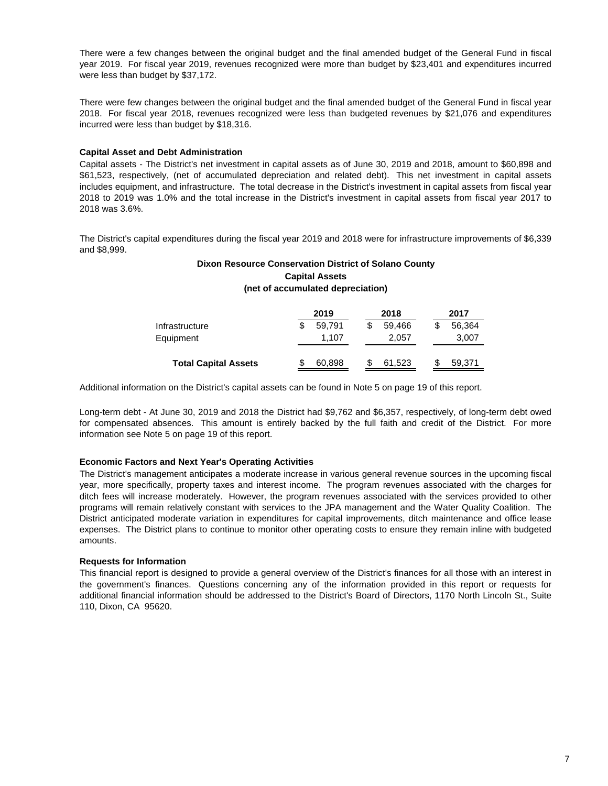There were a few changes between the original budget and the final amended budget of the General Fund in fiscal year 2019. For fiscal year 2019, revenues recognized were more than budget by \$23,401 and expenditures incurred were less than budget by \$37,172.

There were few changes between the original budget and the final amended budget of the General Fund in fiscal year 2018. For fiscal year 2018, revenues recognized were less than budgeted revenues by \$21,076 and expenditures incurred were less than budget by \$18,316.

#### **Capital Asset and Debt Administration**

Capital assets - The District's net investment in capital assets as of June 30, 2019 and 2018, amount to \$60,898 and \$61,523, respectively, (net of accumulated depreciation and related debt). This net investment in capital assets includes equipment, and infrastructure. The total decrease in the District's investment in capital assets from fiscal year 2018 to 2019 was 1.0% and the total increase in the District's investment in capital assets from fiscal year 2017 to 2018 was 3.6%.

The District's capital expenditures during the fiscal year 2019 and 2018 were for infrastructure improvements of \$6,339 and \$8,999.

#### **(net of accumulated depreciation) Capital Assets Dixon Resource Conservation District of Solano County**

|                             | 2019   | 2018   |  | 2017   |  |
|-----------------------------|--------|--------|--|--------|--|
| Infrastructure              | 59.791 | 59.466 |  | 56,364 |  |
| Equipment                   | 1.107  | 2.057  |  | 3.007  |  |
|                             |        |        |  |        |  |
| <b>Total Capital Assets</b> | 60,898 | 61,523 |  | 59,371 |  |

Additional information on the District's capital assets can be found in Note 5 on page 19 of this report.

Long-term debt - At June 30, 2019 and 2018 the District had \$9,762 and \$6,357, respectively, of long-term debt owed for compensated absences. This amount is entirely backed by the full faith and credit of the District. For more information see Note 5 on page 19 of this report.

#### **Economic Factors and Next Year's Operating Activities**

The District's management anticipates a moderate increase in various general revenue sources in the upcoming fiscal year, more specifically, property taxes and interest income. The program revenues associated with the charges for ditch fees will increase moderately. However, the program revenues associated with the services provided to other programs will remain relatively constant with services to the JPA management and the Water Quality Coalition. The District anticipated moderate variation in expenditures for capital improvements, ditch maintenance and office lease expenses. The District plans to continue to monitor other operating costs to ensure they remain inline with budgeted amounts.

#### **Requests for Information**

This financial report is designed to provide a general overview of the District's finances for all those with an interest in the government's finances. Questions concerning any of the information provided in this report or requests for additional financial information should be addressed to the District's Board of Directors, 1170 North Lincoln St., Suite 110, Dixon, CA 95620.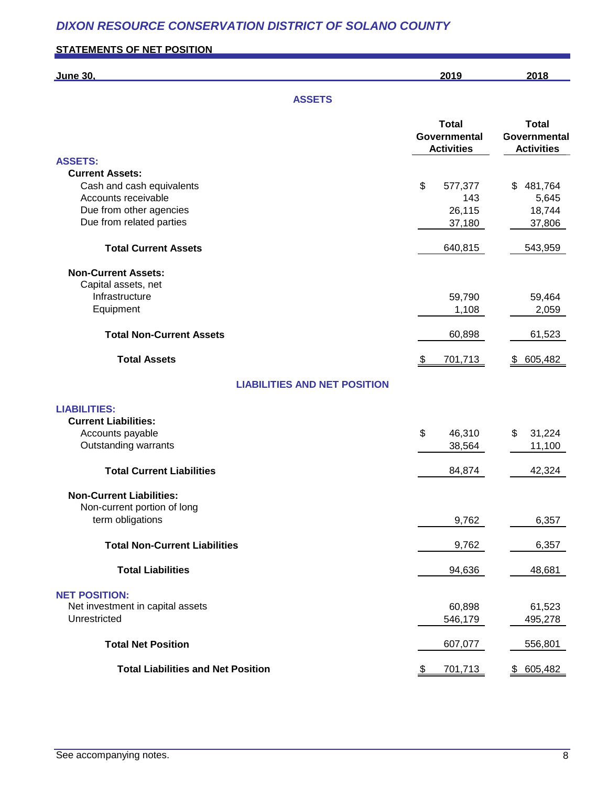## **STATEMENTS OF NET POSITION**

| <b>June 30.</b>                                 | 2019                                              | 2018                                                     |
|-------------------------------------------------|---------------------------------------------------|----------------------------------------------------------|
| <b>ASSETS</b>                                   |                                                   |                                                          |
|                                                 | <b>Total</b><br>Governmental<br><b>Activities</b> | <b>Total</b><br><b>Governmental</b><br><b>Activities</b> |
| <b>ASSETS:</b>                                  |                                                   |                                                          |
| <b>Current Assets:</b>                          |                                                   |                                                          |
| Cash and cash equivalents                       | \$<br>577,377                                     | \$481,764                                                |
| Accounts receivable                             | 143                                               | 5,645                                                    |
| Due from other agencies                         | 26,115                                            | 18,744                                                   |
| Due from related parties                        | 37,180                                            | 37,806                                                   |
| <b>Total Current Assets</b>                     | 640,815                                           | 543,959                                                  |
| <b>Non-Current Assets:</b>                      |                                                   |                                                          |
| Capital assets, net                             |                                                   |                                                          |
| Infrastructure                                  | 59,790                                            | 59,464                                                   |
| Equipment                                       | 1,108                                             | 2,059                                                    |
| <b>Total Non-Current Assets</b>                 | 60,898                                            | 61,523                                                   |
| <b>Total Assets</b>                             | 701,713<br>S.                                     | 605,482<br>\$                                            |
| <b>LIABILITIES AND NET POSITION</b>             |                                                   |                                                          |
| <b>LIABILITIES:</b>                             |                                                   |                                                          |
| <b>Current Liabilities:</b>                     |                                                   |                                                          |
| Accounts payable                                | \$<br>46,310                                      | 31,224<br>\$                                             |
| Outstanding warrants                            | 38,564                                            | 11,100                                                   |
|                                                 |                                                   |                                                          |
| <b>Total Current Liabilities</b>                | 84,874                                            | 42,324                                                   |
| <b>Non-Current Liabilities:</b>                 |                                                   |                                                          |
| Non-current portion of long<br>term obligations | 9,762                                             | 6,357                                                    |
|                                                 |                                                   |                                                          |
| <b>Total Non-Current Liabilities</b>            | 9,762                                             | 6,357                                                    |
| <b>Total Liabilities</b>                        | 94,636                                            | 48,681                                                   |
| <b>NET POSITION:</b>                            |                                                   |                                                          |
| Net investment in capital assets                | 60,898                                            | 61,523                                                   |
| Unrestricted                                    | 546,179                                           | 495,278                                                  |
| <b>Total Net Position</b>                       | 607,077                                           | 556,801                                                  |
| <b>Total Liabilities and Net Position</b>       | 701,713                                           | \$605,482                                                |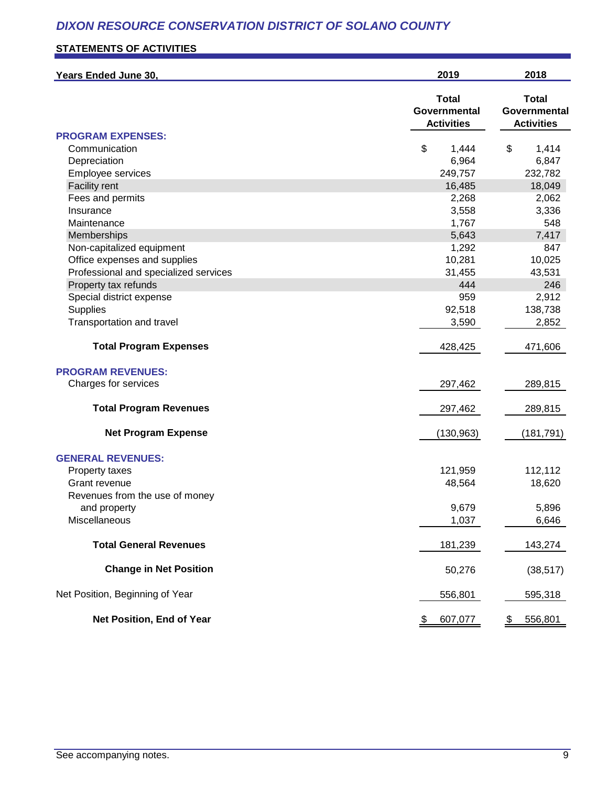## **STATEMENTS OF ACTIVITIES**

| <b>Years Ended June 30,</b>           | 2019                                              | 2018                                              |
|---------------------------------------|---------------------------------------------------|---------------------------------------------------|
|                                       | <b>Total</b><br>Governmental<br><b>Activities</b> | <b>Total</b><br>Governmental<br><b>Activities</b> |
| <b>PROGRAM EXPENSES:</b>              |                                                   |                                                   |
| Communication                         | \$<br>1,444                                       | \$<br>1,414                                       |
| Depreciation                          | 6,964                                             | 6,847                                             |
| Employee services                     | 249,757                                           | 232,782                                           |
| <b>Facility rent</b>                  | 16,485                                            | 18,049                                            |
| Fees and permits                      | 2,268                                             | 2,062                                             |
| Insurance                             | 3,558                                             | 3,336                                             |
| Maintenance                           | 1,767                                             | 548                                               |
| <b>Memberships</b>                    | 5,643                                             | 7,417                                             |
| Non-capitalized equipment             | 1,292                                             | 847                                               |
| Office expenses and supplies          | 10,281                                            | 10,025                                            |
| Professional and specialized services | 31,455                                            | 43,531                                            |
| Property tax refunds                  | 444                                               | 246                                               |
| Special district expense              | 959                                               | 2,912                                             |
| Supplies                              | 92,518                                            | 138,738                                           |
| Transportation and travel             | 3,590                                             | 2,852                                             |
| <b>Total Program Expenses</b>         | 428,425                                           | 471,606                                           |
| <b>PROGRAM REVENUES:</b>              |                                                   |                                                   |
| Charges for services                  | 297,462                                           | 289,815                                           |
| <b>Total Program Revenues</b>         | 297,462                                           | 289,815                                           |
| <b>Net Program Expense</b>            | (130, 963)                                        | (181, 791)                                        |
| <b>GENERAL REVENUES:</b>              |                                                   |                                                   |
| Property taxes                        | 121,959                                           | 112,112                                           |
| Grant revenue                         | 48,564                                            | 18,620                                            |
| Revenues from the use of money        |                                                   |                                                   |
| and property                          | 9,679                                             | 5,896                                             |
| Miscellaneous                         | 1,037                                             | 6,646                                             |
| <b>Total General Revenues</b>         | 181,239                                           | 143,274                                           |
| <b>Change in Net Position</b>         | 50,276                                            | (38, 517)                                         |
| Net Position, Beginning of Year       | 556,801                                           | 595,318                                           |
| Net Position, End of Year             | 607,077                                           | 556,801                                           |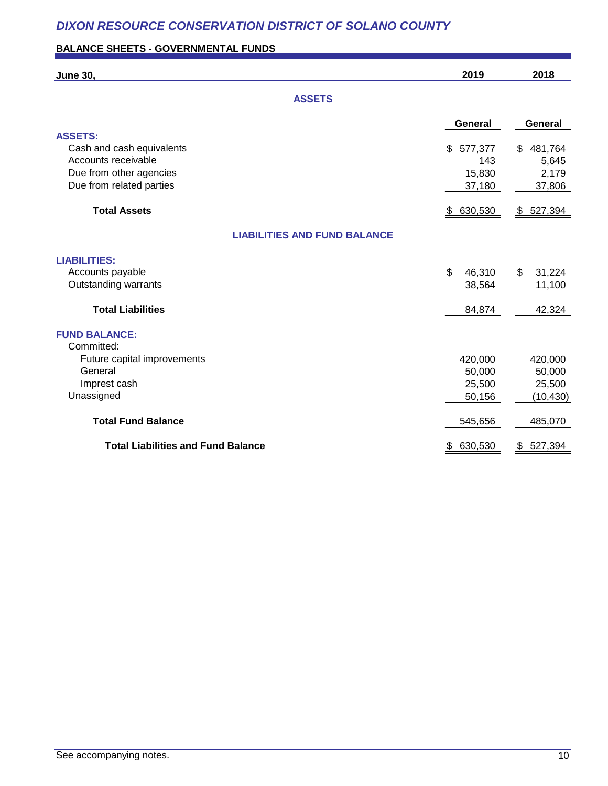## **BALANCE SHEETS - GOVERNMENTAL FUNDS**

| <b>June 30,</b>                           | 2019                     | 2018                     |
|-------------------------------------------|--------------------------|--------------------------|
| <b>ASSETS</b>                             |                          |                          |
|                                           | General                  | General                  |
| <b>ASSETS:</b>                            |                          |                          |
| Cash and cash equivalents                 | \$<br>577,377            | 481,764<br>\$            |
| Accounts receivable                       | 143                      | 5,645                    |
| Due from other agencies                   | 15,830                   | 2,179                    |
| Due from related parties                  | 37,180                   | 37,806                   |
| <b>Total Assets</b>                       | 630,530<br>$\frac{1}{2}$ | \$527,394                |
| <b>LIABILITIES AND FUND BALANCE</b>       |                          |                          |
| <b>LIABILITIES:</b>                       |                          |                          |
| Accounts payable                          | \$<br>46,310             | \$<br>31,224             |
| Outstanding warrants                      | 38,564                   | 11,100                   |
| <b>Total Liabilities</b>                  | 84,874                   | 42,324                   |
| <b>FUND BALANCE:</b>                      |                          |                          |
| Committed:                                |                          |                          |
| Future capital improvements               | 420,000                  | 420,000                  |
| General                                   | 50,000                   | 50,000                   |
| Imprest cash                              | 25,500                   | 25,500                   |
| Unassigned                                | 50,156                   | (10, 430)                |
| <b>Total Fund Balance</b>                 | 545,656                  | 485,070                  |
| <b>Total Liabilities and Fund Balance</b> | 630,530<br><u>\$</u>     | 527,394<br>$\frac{1}{2}$ |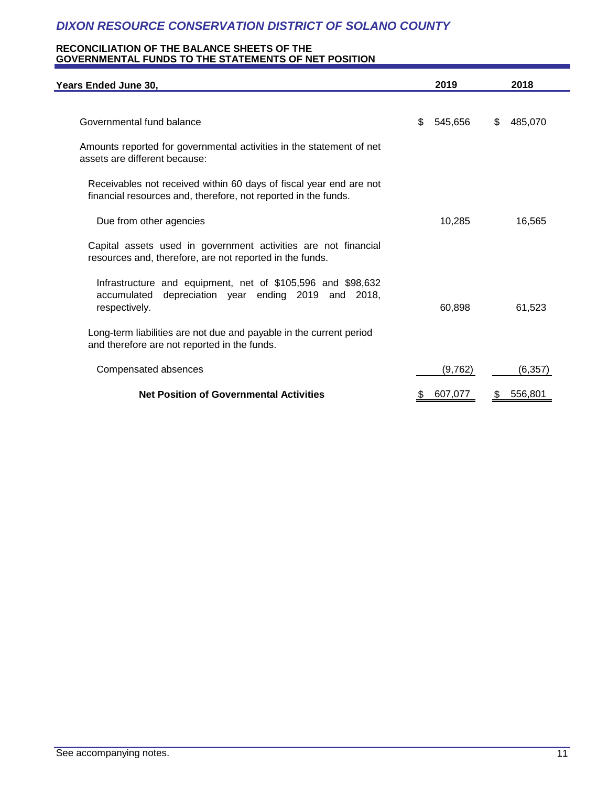#### **RECONCILIATION OF THE BALANCE SHEETS OF THE GOVERNMENTAL FUNDS TO THE STATEMENTS OF NET POSITION**

| Years Ended June 30,                                                                                                                   | 2019          |    | 2018     |  |
|----------------------------------------------------------------------------------------------------------------------------------------|---------------|----|----------|--|
|                                                                                                                                        |               |    |          |  |
| Governmental fund balance                                                                                                              | \$<br>545,656 | \$ | 485,070  |  |
| Amounts reported for governmental activities in the statement of net<br>assets are different because:                                  |               |    |          |  |
| Receivables not received within 60 days of fiscal year end are not<br>financial resources and, therefore, not reported in the funds.   |               |    |          |  |
| Due from other agencies                                                                                                                | 10,285        |    | 16,565   |  |
| Capital assets used in government activities are not financial<br>resources and, therefore, are not reported in the funds.             |               |    |          |  |
| Infrastructure and equipment, net of \$105,596 and \$98,632<br>depreciation year ending 2019 and 2018,<br>accumulated<br>respectively. | 60,898        |    | 61,523   |  |
| Long-term liabilities are not due and payable in the current period<br>and therefore are not reported in the funds.                    |               |    |          |  |
| Compensated absences                                                                                                                   | (9,762)       |    | (6, 357) |  |
| <b>Net Position of Governmental Activities</b>                                                                                         | \$<br>607,077 | S. | 556,801  |  |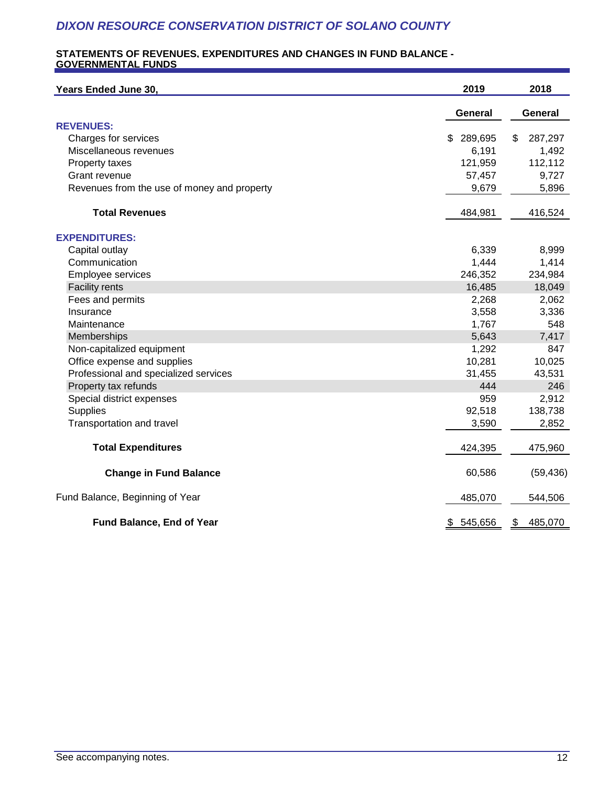#### **STATEMENTS OF REVENUES, EXPENDITURES AND CHANGES IN FUND BALANCE - GOVERNMENTAL FUNDS**

| <b>Years Ended June 30,</b>                 | 2019                 | 2018          |
|---------------------------------------------|----------------------|---------------|
|                                             | General              | General       |
| <b>REVENUES:</b>                            |                      |               |
| Charges for services                        | 289,695<br>\$        | \$<br>287,297 |
| Miscellaneous revenues                      | 6,191                | 1,492         |
| Property taxes                              | 121,959              | 112,112       |
| Grant revenue                               | 57,457               | 9,727         |
| Revenues from the use of money and property | 9,679                | 5,896         |
| <b>Total Revenues</b>                       | 484,981              | 416,524       |
| <b>EXPENDITURES:</b>                        |                      |               |
| Capital outlay                              | 6,339                | 8,999         |
| Communication                               | 1,444                | 1,414         |
| Employee services                           | 246,352              | 234,984       |
| <b>Facility rents</b>                       | 16,485               | 18,049        |
| Fees and permits                            | 2,268                | 2,062         |
| Insurance                                   | 3,558                | 3,336         |
| Maintenance                                 | 1,767                | 548           |
| <b>Memberships</b>                          | 5,643                | 7,417         |
| Non-capitalized equipment                   | 1,292                | 847           |
| Office expense and supplies                 | 10,281               | 10,025        |
| Professional and specialized services       | 31,455               | 43,531        |
| Property tax refunds                        | 444                  | 246           |
| Special district expenses                   | 959                  | 2,912         |
| Supplies                                    | 92,518               | 138,738       |
| Transportation and travel                   | 3,590                | 2,852         |
| <b>Total Expenditures</b>                   | 424,395              | 475,960       |
| <b>Change in Fund Balance</b>               | 60,586               | (59, 436)     |
| Fund Balance, Beginning of Year             | 485,070              | 544,506       |
| <b>Fund Balance, End of Year</b>            | 545,656<br><u>\$</u> | 485,070<br>\$ |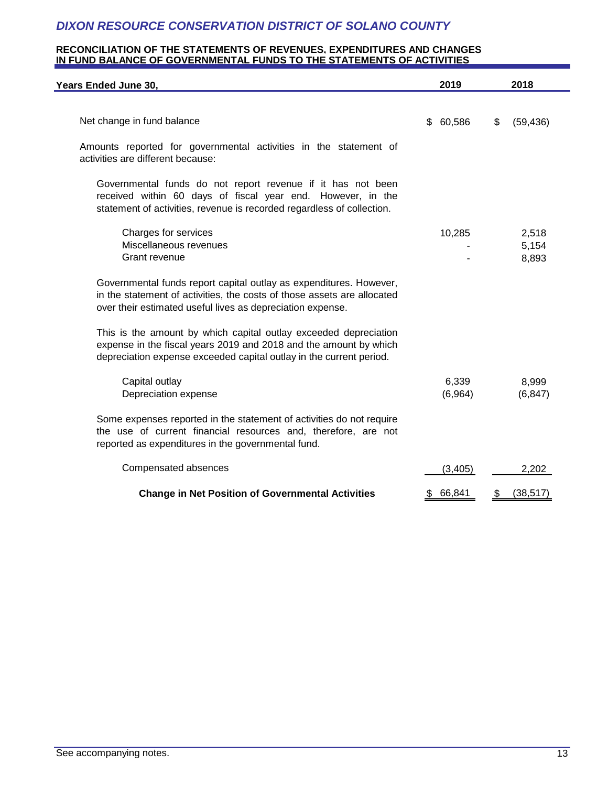#### **RECONCILIATION OF THE STATEMENTS OF REVENUES, EXPENDITURES AND CHANGES IN FUND BALANCE OF GOVERNMENTAL FUNDS TO THE STATEMENTS OF ACTIVITIES**

| <b>Years Ended June 30,</b>                                                                                                                                                                                  | 2019             |   | 2018                    |  |
|--------------------------------------------------------------------------------------------------------------------------------------------------------------------------------------------------------------|------------------|---|-------------------------|--|
| Net change in fund balance                                                                                                                                                                                   | \$<br>60,586     | S | (59, 436)               |  |
| Amounts reported for governmental activities in the statement of<br>activities are different because:                                                                                                        |                  |   |                         |  |
| Governmental funds do not report revenue if it has not been<br>received within 60 days of fiscal year end. However, in the<br>statement of activities, revenue is recorded regardless of collection.         |                  |   |                         |  |
| Charges for services<br>Miscellaneous revenues<br>Grant revenue                                                                                                                                              | 10,285           |   | 2,518<br>5,154<br>8,893 |  |
| Governmental funds report capital outlay as expenditures. However,<br>in the statement of activities, the costs of those assets are allocated<br>over their estimated useful lives as depreciation expense.  |                  |   |                         |  |
| This is the amount by which capital outlay exceeded depreciation<br>expense in the fiscal years 2019 and 2018 and the amount by which<br>depreciation expense exceeded capital outlay in the current period. |                  |   |                         |  |
| Capital outlay<br>Depreciation expense                                                                                                                                                                       | 6,339<br>(6,964) |   | 8,999<br>(6, 847)       |  |
| Some expenses reported in the statement of activities do not require<br>the use of current financial resources and, therefore, are not<br>reported as expenditures in the governmental fund.                 |                  |   |                         |  |
| Compensated absences                                                                                                                                                                                         | (3, 405)         |   | 2,202                   |  |
| <b>Change in Net Position of Governmental Activities</b>                                                                                                                                                     | 66,841           |   | (38, 517)               |  |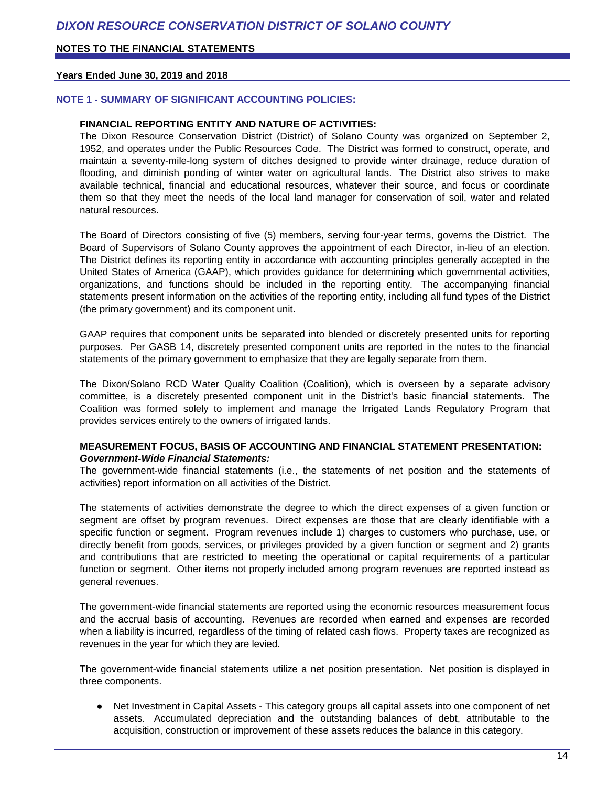#### **Years Ended June 30, 2019 and 2018**

## **NOTE 1 - SUMMARY OF SIGNIFICANT ACCOUNTING POLICIES:**

#### **FINANCIAL REPORTING ENTITY AND NATURE OF ACTIVITIES:**

The Dixon Resource Conservation District (District) of Solano County was organized on September 2, 1952, and operates under the Public Resources Code. The District was formed to construct, operate, and maintain a seventy-mile-long system of ditches designed to provide winter drainage, reduce duration of flooding, and diminish ponding of winter water on agricultural lands. The District also strives to make available technical, financial and educational resources, whatever their source, and focus or coordinate them so that they meet the needs of the local land manager for conservation of soil, water and related natural resources.

The Board of Directors consisting of five (5) members, serving four-year terms, governs the District. The Board of Supervisors of Solano County approves the appointment of each Director, in-lieu of an election. The District defines its reporting entity in accordance with accounting principles generally accepted in the United States of America (GAAP), which provides guidance for determining which governmental activities, organizations, and functions should be included in the reporting entity. The accompanying financial statements present information on the activities of the reporting entity, including all fund types of the District (the primary government) and its component unit.

GAAP requires that component units be separated into blended or discretely presented units for reporting purposes. Per GASB 14, discretely presented component units are reported in the notes to the financial statements of the primary government to emphasize that they are legally separate from them.

The Dixon/Solano RCD Water Quality Coalition (Coalition), which is overseen by a separate advisory committee, is a discretely presented component unit in the District's basic financial statements. The Coalition was formed solely to implement and manage the Irrigated Lands Regulatory Program that provides services entirely to the owners of irrigated lands.

#### **MEASUREMENT FOCUS, BASIS OF ACCOUNTING AND FINANCIAL STATEMENT PRESENTATION:** *Government-Wide Financial Statements:*

The government-wide financial statements (i.e., the statements of net position and the statements of activities) report information on all activities of the District.

The statements of activities demonstrate the degree to which the direct expenses of a given function or segment are offset by program revenues. Direct expenses are those that are clearly identifiable with a specific function or segment. Program revenues include 1) charges to customers who purchase, use, or directly benefit from goods, services, or privileges provided by a given function or segment and 2) grants and contributions that are restricted to meeting the operational or capital requirements of a particular function or segment. Other items not properly included among program revenues are reported instead as general revenues.

The government-wide financial statements are reported using the economic resources measurement focus and the accrual basis of accounting. Revenues are recorded when earned and expenses are recorded when a liability is incurred, regardless of the timing of related cash flows. Property taxes are recognized as revenues in the year for which they are levied.

The government-wide financial statements utilize a net position presentation. Net position is displayed in three components.

● Net Investment in Capital Assets - This category groups all capital assets into one component of net assets. Accumulated depreciation and the outstanding balances of debt, attributable to the acquisition, construction or improvement of these assets reduces the balance in this category.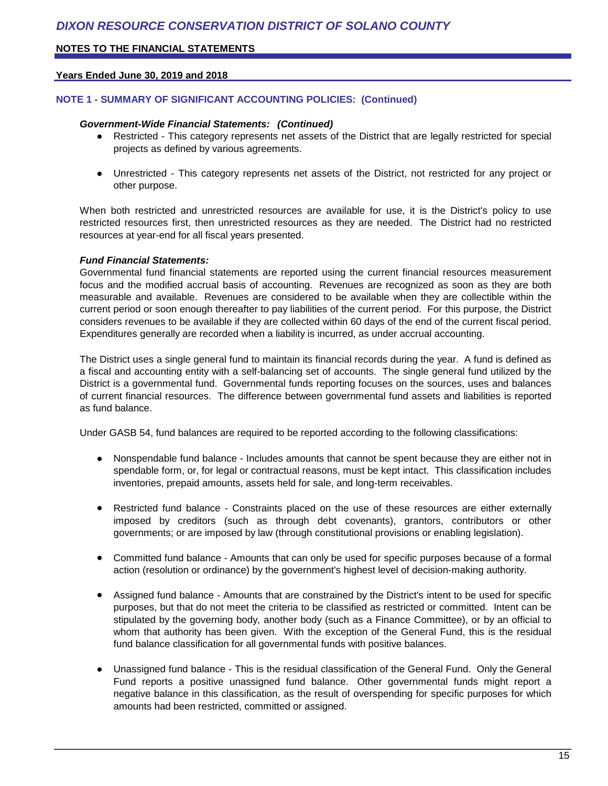## **Years Ended June 30, 2019 and 2018**

## **NOTE 1 - SUMMARY OF SIGNIFICANT ACCOUNTING POLICIES: (Continued)**

## *Government-Wide Financial Statements: (Continued)*

- Restricted This category represents net assets of the District that are legally restricted for special projects as defined by various agreements.
- Unrestricted This category represents net assets of the District, not restricted for any project or other purpose.

When both restricted and unrestricted resources are available for use, it is the District's policy to use restricted resources first, then unrestricted resources as they are needed. The District had no restricted resources at year-end for all fiscal years presented.

## *Fund Financial Statements:*

Governmental fund financial statements are reported using the current financial resources measurement focus and the modified accrual basis of accounting. Revenues are recognized as soon as they are both measurable and available. Revenues are considered to be available when they are collectible within the current period or soon enough thereafter to pay liabilities of the current period. For this purpose, the District considers revenues to be available if they are collected within 60 days of the end of the current fiscal period. Expenditures generally are recorded when a liability is incurred, as under accrual accounting.

The District uses a single general fund to maintain its financial records during the year. A fund is defined as a fiscal and accounting entity with a self-balancing set of accounts. The single general fund utilized by the District is a governmental fund. Governmental funds reporting focuses on the sources, uses and balances of current financial resources. The difference between governmental fund assets and liabilities is reported as fund balance.

Under GASB 54, fund balances are required to be reported according to the following classifications:

- Nonspendable fund balance - Includes amounts that cannot be spent because they are either not in spendable form, or, for legal or contractual reasons, must be kept intact. This classification includes inventories, prepaid amounts, assets held for sale, and long-term receivables.
- Restricted fund balance Constraints placed on the use of these resources are either externally imposed by creditors (such as through debt covenants), grantors, contributors or other governments; or are imposed by law (through constitutional provisions or enabling legislation).
- Committed fund balance Amounts that can only be used for specific purposes because of a formal action (resolution or ordinance) by the government's highest level of decision-making authority.
- Assigned fund balance - Amounts that are constrained by the District's intent to be used for specific purposes, but that do not meet the criteria to be classified as restricted or committed. Intent can be stipulated by the governing body, another body (such as a Finance Committee), or by an official to whom that authority has been given. With the exception of the General Fund, this is the residual fund balance classification for all governmental funds with positive balances.
- Unassigned fund balance - This is the residual classification of the General Fund. Only the General Fund reports a positive unassigned fund balance. Other governmental funds might report a negative balance in this classification, as the result of overspending for specific purposes for which amounts had been restricted, committed or assigned.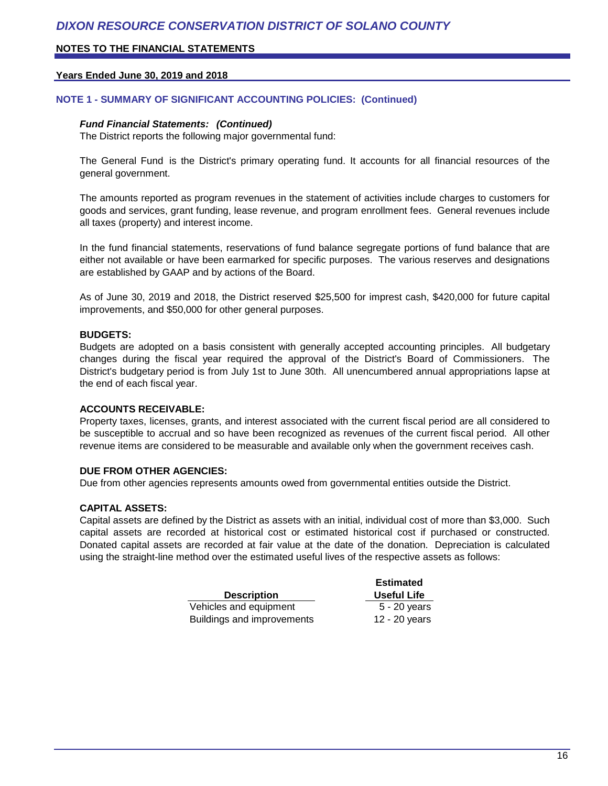## **Years Ended June 30, 2019 and 2018**

## **NOTE 1 - SUMMARY OF SIGNIFICANT ACCOUNTING POLICIES: (Continued)**

## *Fund Financial Statements: (Continued)*

The District reports the following major governmental fund:

The General Fund is the District's primary operating fund. It accounts for all financial resources of the general government.

The amounts reported as program revenues in the statement of activities include charges to customers for goods and services, grant funding, lease revenue, and program enrollment fees. General revenues include all taxes (property) and interest income.

In the fund financial statements, reservations of fund balance segregate portions of fund balance that are either not available or have been earmarked for specific purposes. The various reserves and designations are established by GAAP and by actions of the Board.

As of June 30, 2019 and 2018, the District reserved \$25,500 for imprest cash, \$420,000 for future capital improvements, and \$50,000 for other general purposes.

## **BUDGETS:**

Budgets are adopted on a basis consistent with generally accepted accounting principles. All budgetary changes during the fiscal year required the approval of the District's Board of Commissioners. The District's budgetary period is from July 1st to June 30th. All unencumbered annual appropriations lapse at the end of each fiscal year.

## **ACCOUNTS RECEIVABLE:**

Property taxes, licenses, grants, and interest associated with the current fiscal period are all considered to be susceptible to accrual and so have been recognized as revenues of the current fiscal period. All other revenue items are considered to be measurable and available only when the government receives cash.

## **DUE FROM OTHER AGENCIES:**

Due from other agencies represents amounts owed from governmental entities outside the District.

## **CAPITAL ASSETS:**

Capital assets are defined by the District as assets with an initial, individual cost of more than \$3,000. Such capital assets are recorded at historical cost or estimated historical cost if purchased or constructed. Donated capital assets are recorded at fair value at the date of the donation. Depreciation is calculated using the straight-line method over the estimated useful lives of the respective assets as follows:

|                            | <b>Estimated</b> |
|----------------------------|------------------|
| <b>Description</b>         | Useful Life      |
| Vehicles and equipment     | $5 - 20$ years   |
| Buildings and improvements | $12 - 20$ years  |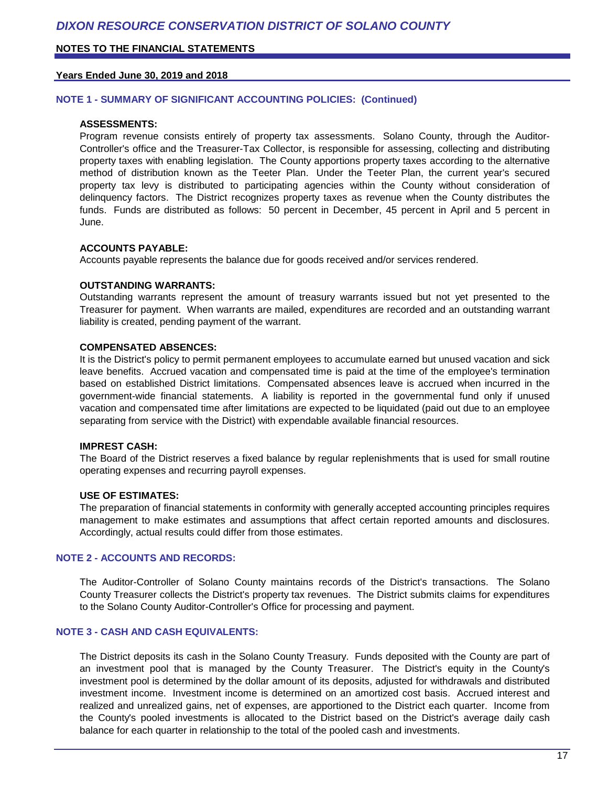#### **Years Ended June 30, 2019 and 2018**

#### **NOTE 1 - SUMMARY OF SIGNIFICANT ACCOUNTING POLICIES: (Continued)**

#### **ASSESSMENTS:**

Program revenue consists entirely of property tax assessments. Solano County, through the Auditor-Controller's office and the Treasurer-Tax Collector, is responsible for assessing, collecting and distributing property taxes with enabling legislation. The County apportions property taxes according to the alternative method of distribution known as the Teeter Plan. Under the Teeter Plan, the current year's secured property tax levy is distributed to participating agencies within the County without consideration of delinquency factors. The District recognizes property taxes as revenue when the County distributes the funds. Funds are distributed as follows: 50 percent in December, 45 percent in April and 5 percent in June.

#### **ACCOUNTS PAYABLE:**

Accounts payable represents the balance due for goods received and/or services rendered.

#### **OUTSTANDING WARRANTS:**

Outstanding warrants represent the amount of treasury warrants issued but not yet presented to the Treasurer for payment. When warrants are mailed, expenditures are recorded and an outstanding warrant liability is created, pending payment of the warrant.

## **COMPENSATED ABSENCES:**

It is the District's policy to permit permanent employees to accumulate earned but unused vacation and sick leave benefits. Accrued vacation and compensated time is paid at the time of the employee's termination based on established District limitations. Compensated absences leave is accrued when incurred in the government-wide financial statements. A liability is reported in the governmental fund only if unused vacation and compensated time after limitations are expected to be liquidated (paid out due to an employee separating from service with the District) with expendable available financial resources.

## **IMPREST CASH:**

The Board of the District reserves a fixed balance by regular replenishments that is used for small routine operating expenses and recurring payroll expenses.

## **USE OF ESTIMATES:**

The preparation of financial statements in conformity with generally accepted accounting principles requires management to make estimates and assumptions that affect certain reported amounts and disclosures. Accordingly, actual results could differ from those estimates.

## **NOTE 2 - ACCOUNTS AND RECORDS:**

The Auditor-Controller of Solano County maintains records of the District's transactions. The Solano County Treasurer collects the District's property tax revenues. The District submits claims for expenditures to the Solano County Auditor-Controller's Office for processing and payment.

## **NOTE 3 - CASH AND CASH EQUIVALENTS:**

The District deposits its cash in the Solano County Treasury. Funds deposited with the County are part of an investment pool that is managed by the County Treasurer. The District's equity in the County's investment pool is determined by the dollar amount of its deposits, adjusted for withdrawals and distributed investment income. Investment income is determined on an amortized cost basis. Accrued interest and realized and unrealized gains, net of expenses, are apportioned to the District each quarter. Income from the County's pooled investments is allocated to the District based on the District's average daily cash balance for each quarter in relationship to the total of the pooled cash and investments.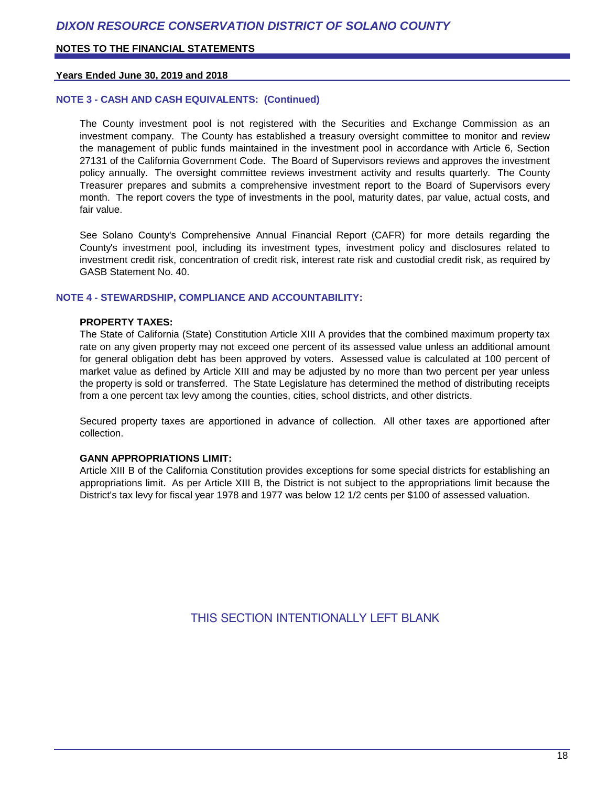#### **Years Ended June 30, 2019 and 2018**

## **NOTE 3 - CASH AND CASH EQUIVALENTS: (Continued)**

The County investment pool is not registered with the Securities and Exchange Commission as an investment company. The County has established a treasury oversight committee to monitor and review the management of public funds maintained in the investment pool in accordance with Article 6, Section 27131 of the California Government Code. The Board of Supervisors reviews and approves the investment policy annually. The oversight committee reviews investment activity and results quarterly. The County Treasurer prepares and submits a comprehensive investment report to the Board of Supervisors every month. The report covers the type of investments in the pool, maturity dates, par value, actual costs, and fair value.

See Solano County's Comprehensive Annual Financial Report (CAFR) for more details regarding the County's investment pool, including its investment types, investment policy and disclosures related to investment credit risk, concentration of credit risk, interest rate risk and custodial credit risk, as required by GASB Statement No. 40.

## **NOTE 4 - STEWARDSHIP, COMPLIANCE AND ACCOUNTABILITY:**

## **PROPERTY TAXES:**

The State of California (State) Constitution Article XIII A provides that the combined maximum property tax rate on any given property may not exceed one percent of its assessed value unless an additional amount for general obligation debt has been approved by voters. Assessed value is calculated at 100 percent of market value as defined by Article XIII and may be adjusted by no more than two percent per year unless the property is sold or transferred. The State Legislature has determined the method of distributing receipts from a one percent tax levy among the counties, cities, school districts, and other districts.

Secured property taxes are apportioned in advance of collection. All other taxes are apportioned after collection.

## **GANN APPROPRIATIONS LIMIT:**

Article XIII B of the California Constitution provides exceptions for some special districts for establishing an appropriations limit. As per Article XIII B, the District is not subject to the appropriations limit because the District's tax levy for fiscal year 1978 and 1977 was below 12 1/2 cents per \$100 of assessed valuation.

THIS SECTION INTENTIONALLY LEFT BLANK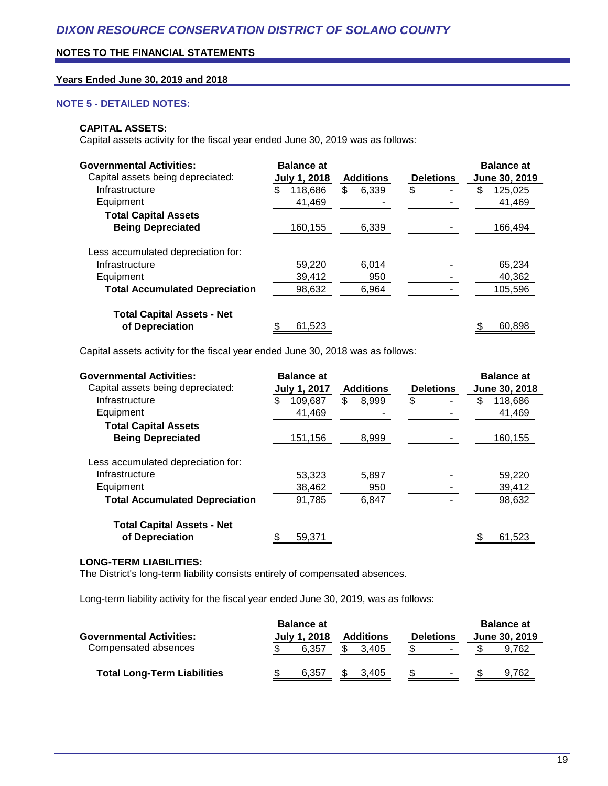## **Years Ended June 30, 2019 and 2018**

## **NOTE 5 - DETAILED NOTES:**

## **CAPITAL ASSETS:**

Capital assets activity for the fiscal year ended June 30, 2019 was as follows:

| <b>Balance at</b> | <b>Additions</b>              | <b>Deletions</b> | <b>Balance at</b><br>June 30, 2019 |
|-------------------|-------------------------------|------------------|------------------------------------|
| \$<br>118,686     | \$<br>6,339                   | \$               | \$<br>125,025                      |
| 41,469            |                               |                  | 41,469                             |
|                   |                               |                  |                                    |
| 160,155           | 6,339                         |                  | 166,494                            |
|                   |                               |                  |                                    |
| 59.220            | 6.014                         |                  | 65,234                             |
| 39,412            | 950                           |                  | 40,362                             |
| 98,632            | 6,964                         |                  | 105,596                            |
|                   |                               |                  | 60,898                             |
|                   | <b>July 1, 2018</b><br>61,523 |                  |                                    |

Capital assets activity for the fiscal year ended June 30, 2018 was as follows:

| <b>Governmental Activities:</b>       | <b>Balance at</b>   |                  |                  | <b>Balance at</b> |
|---------------------------------------|---------------------|------------------|------------------|-------------------|
| Capital assets being depreciated:     | <b>July 1, 2017</b> | <b>Additions</b> | <b>Deletions</b> | June 30, 2018     |
| Infrastructure                        | \$<br>109,687       | \$<br>8,999      | \$               | \$<br>118,686     |
| Equipment                             | 41,469              |                  |                  | 41,469            |
| <b>Total Capital Assets</b>           |                     |                  |                  |                   |
| <b>Being Depreciated</b>              | 151,156             | 8,999            |                  | 160,155           |
| Less accumulated depreciation for:    |                     |                  |                  |                   |
| Infrastructure                        | 53,323              | 5,897            |                  | 59,220            |
| Equipment                             | 38,462              | 950              |                  | 39,412            |
| <b>Total Accumulated Depreciation</b> | 91,785              | 6,847            |                  | 98,632            |
| <b>Total Capital Assets - Net</b>     |                     |                  |                  |                   |
| of Depreciation                       | 59,371              |                  |                  | 61,523            |

## **LONG-TERM LIABILITIES:**

The District's long-term liability consists entirely of compensated absences.

Long-term liability activity for the fiscal year ended June 30, 2019, was as follows:

|                                    | <b>Balance at</b> |                  |                  | <b>Balance at</b> |
|------------------------------------|-------------------|------------------|------------------|-------------------|
| <b>Governmental Activities:</b>    | July 1, 2018      | <b>Additions</b> | <b>Deletions</b> | June 30, 2019     |
| Compensated absences               | 6.357             | 3.405            | ۰                | 9.762             |
| <b>Total Long-Term Liabilities</b> | 6.357             | 3.405            | ۰                | 9.762             |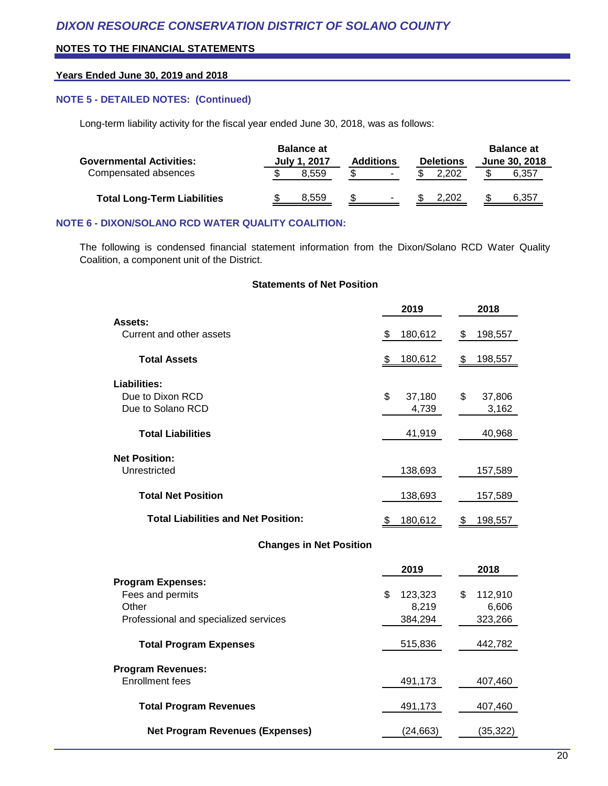## **Years Ended June 30, 2019 and 2018**

## **NOTE 5 - DETAILED NOTES: (Continued)**

Long-term liability activity for the fiscal year ended June 30, 2018, was as follows:

|                                    | <b>Balance at</b>   |                  |                  | <b>Balance at</b> |
|------------------------------------|---------------------|------------------|------------------|-------------------|
| <b>Governmental Activities:</b>    | <b>July 1, 2017</b> | <b>Additions</b> | <b>Deletions</b> | June 30, 2018     |
| Compensated absences               | 8.559               | ۰                | 2.202            | 6,357             |
| <b>Total Long-Term Liabilities</b> | 8,559               | ٠                | 2,202            | 6,357             |

## **NOTE 6 - DIXON/SOLANO RCD WATER QUALITY COALITION:**

The following is condensed financial statement information from the Dixon/Solano RCD Water Quality Coalition, a component unit of the District.

## **Statements of Net Position**

|                                            | 2019          |     | 2018    |
|--------------------------------------------|---------------|-----|---------|
| Assets:                                    |               |     |         |
| Current and other assets                   | 180,612<br>\$ | \$  | 198,557 |
| <b>Total Assets</b>                        | 180,612<br>S. | \$. | 198,557 |
| <b>Liabilities:</b>                        |               |     |         |
| Due to Dixon RCD                           | \$<br>37,180  | \$  | 37,806  |
| Due to Solano RCD                          | 4,739         |     | 3,162   |
| <b>Total Liabilities</b>                   | 41,919        |     | 40,968  |
| <b>Net Position:</b>                       |               |     |         |
| Unrestricted                               | 138,693       |     | 157,589 |
| <b>Total Net Position</b>                  | 138,693       |     | 157,589 |
| <b>Total Liabilities and Net Position:</b> | 180,612<br>\$ | \$  | 198,557 |

## **Changes in Net Position**

|                                        | 2019          | 2018         |
|----------------------------------------|---------------|--------------|
| Program Expenses:                      |               |              |
| Fees and permits                       | \$<br>123,323 | 112,910<br>S |
| Other                                  | 8.219         | 6,606        |
| Professional and specialized services  | 384,294       | 323,266      |
| <b>Total Program Expenses</b>          | 515,836       | 442,782      |
| Program Revenues:<br>Enrollment fees   | 491,173       | 407,460      |
| <b>Total Program Revenues</b>          | 491,173       | 407,460      |
| <b>Net Program Revenues (Expenses)</b> | (24,663)      | (35,322)     |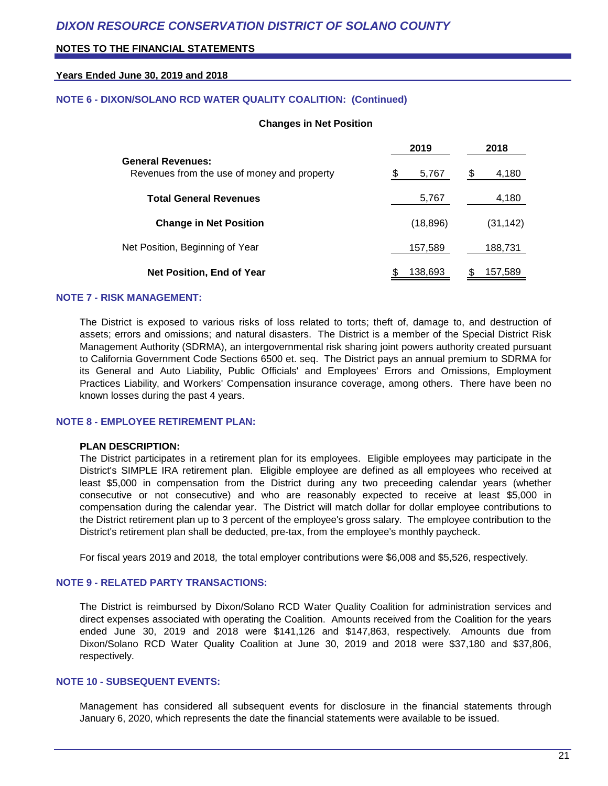## **Years Ended June 30, 2019 and 2018**

## **NOTE 6 - DIXON/SOLANO RCD WATER QUALITY COALITION: (Continued)**

#### **Changes in Net Position**

|                                                                         | 2019        | 2018        |
|-------------------------------------------------------------------------|-------------|-------------|
| <b>General Revenues:</b><br>Revenues from the use of money and property | \$<br>5,767 | \$<br>4,180 |
| <b>Total General Revenues</b>                                           | 5,767       | 4,180       |
| <b>Change in Net Position</b>                                           | (18, 896)   | (31, 142)   |
| Net Position, Beginning of Year                                         | 157,589     | 188,731     |
| <b>Net Position, End of Year</b>                                        | 138,693     | 157,589     |

#### **NOTE 7 - RISK MANAGEMENT:**

The District is exposed to various risks of loss related to torts; theft of, damage to, and destruction of assets; errors and omissions; and natural disasters. The District is a member of the Special District Risk Management Authority (SDRMA), an intergovernmental risk sharing joint powers authority created pursuant to California Government Code Sections 6500 et. seq. The District pays an annual premium to SDRMA for its General and Auto Liability, Public Officials' and Employees' Errors and Omissions, Employment Practices Liability, and Workers' Compensation insurance coverage, among others. There have been no known losses during the past 4 years.

#### **NOTE 8 - EMPLOYEE RETIREMENT PLAN:**

#### **PLAN DESCRIPTION:**

The District participates in a retirement plan for its employees. Eligible employees may participate in the District's SIMPLE IRA retirement plan. Eligible employee are defined as all employees who received at least \$5,000 in compensation from the District during any two preceeding calendar years (whether consecutive or not consecutive) and who are reasonably expected to receive at least \$5,000 in compensation during the calendar year. The District will match dollar for dollar employee contributions to the District retirement plan up to 3 percent of the employee's gross salary. The employee contribution to the District's retirement plan shall be deducted, pre-tax, from the employee's monthly paycheck.

For fiscal years 2019 and 2018*,* the total employer contributions were \$6,008 and \$5,526, respectively.

## **NOTE 9 - RELATED PARTY TRANSACTIONS:**

The District is reimbursed by Dixon/Solano RCD Water Quality Coalition for administration services and direct expenses associated with operating the Coalition. Amounts received from the Coalition for the years ended June 30, 2019 and 2018 were \$141,126 and \$147,863, respectively. Amounts due from Dixon/Solano RCD Water Quality Coalition at June 30, 2019 and 2018 were \$37,180 and \$37,806, respectively.

#### **NOTE 10 - SUBSEQUENT EVENTS:**

Management has considered all subsequent events for disclosure in the financial statements through January 6, 2020, which represents the date the financial statements were available to be issued.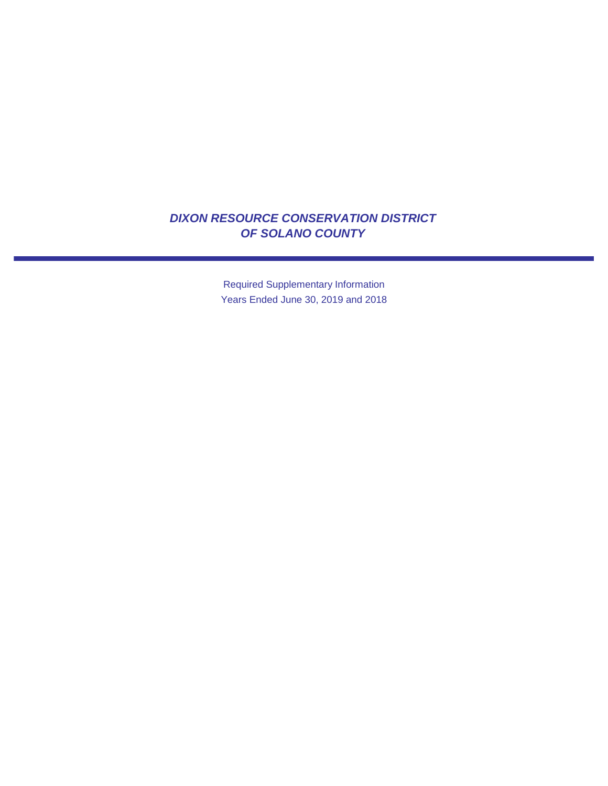Required Supplementary Information Years Ended June 30, 2019 and 2018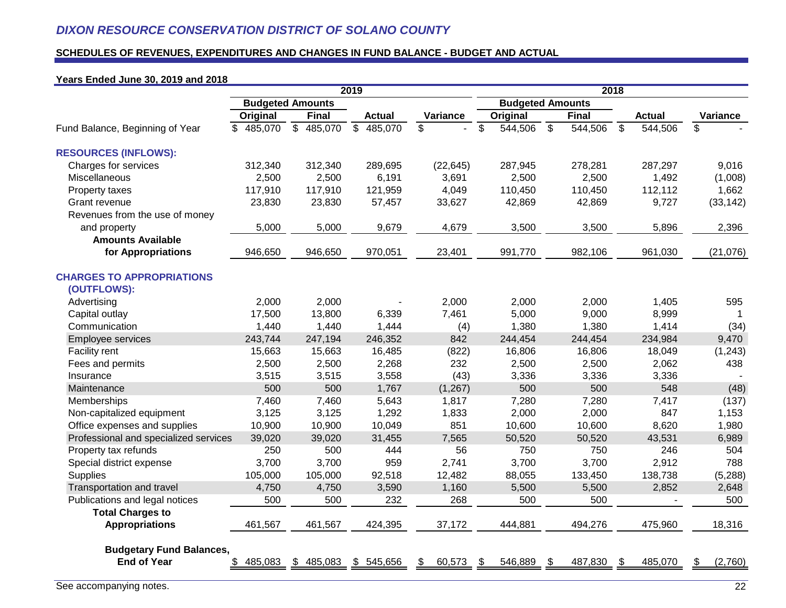## **SCHEDULES OF REVENUES, EXPENDITURES AND CHANGES IN FUND BALANCE - BUDGET AND ACTUAL**

## **Years Ended June 30, 2019 and 2018**

|                                                 |                |                           | 2019          |             | 2018                    |                           |                 |                |  |
|-------------------------------------------------|----------------|---------------------------|---------------|-------------|-------------------------|---------------------------|-----------------|----------------|--|
|                                                 |                | <b>Budgeted Amounts</b>   |               |             |                         | <b>Budgeted Amounts</b>   |                 |                |  |
|                                                 | Original       | <b>Final</b>              | <b>Actual</b> | Variance    | Original                | <b>Final</b>              | <b>Actual</b>   | Variance       |  |
| Fund Balance, Beginning of Year                 | \$.<br>485,070 | $\mathfrak{L}$<br>485,070 | \$<br>485,070 | \$          | $\mathbb{S}$<br>544,506 | $\mathfrak{S}$<br>544,506 | \$<br>544,506   | \$             |  |
| <b>RESOURCES (INFLOWS):</b>                     |                |                           |               |             |                         |                           |                 |                |  |
| Charges for services                            | 312,340        | 312,340                   | 289,695       | (22, 645)   | 287,945                 | 278,281                   | 287,297         | 9,016          |  |
| Miscellaneous                                   | 2,500          | 2,500                     | 6,191         | 3,691       | 2,500                   | 2,500                     | 1,492           | (1,008)        |  |
| Property taxes                                  | 117,910        | 117,910                   | 121,959       | 4,049       | 110,450                 | 110,450                   | 112,112         | 1,662          |  |
| Grant revenue                                   | 23,830         | 23,830                    | 57,457        | 33,627      | 42,869                  | 42,869                    | 9,727           | (33, 142)      |  |
| Revenues from the use of money                  |                |                           |               |             |                         |                           |                 |                |  |
| and property                                    | 5,000          | 5,000                     | 9,679         | 4,679       | 3,500                   | 3,500                     | 5,896           | 2,396          |  |
| <b>Amounts Available</b>                        |                |                           |               |             |                         |                           |                 |                |  |
| for Appropriations                              | 946,650        | 946,650                   | 970,051       | 23,401      | 991,770                 | 982,106                   | 961,030         | (21,076)       |  |
| <b>CHARGES TO APPROPRIATIONS</b><br>(OUTFLOWS): |                |                           |               |             |                         |                           |                 |                |  |
| Advertising                                     | 2,000          | 2,000                     |               | 2,000       | 2,000                   | 2,000                     | 1,405           | 595            |  |
| Capital outlay                                  | 17,500         | 13,800                    | 6,339         | 7,461       | 5,000                   | 9,000                     | 8,999           |                |  |
| Communication                                   | 1,440          | 1,440                     | 1,444         | (4)         | 1,380                   | 1,380                     | 1,414           | (34)           |  |
| <b>Employee services</b>                        | 243,744        | 247,194                   | 246,352       | 842         | 244,454                 | 244,454                   | 234,984         | 9,470          |  |
| Facility rent                                   | 15,663         | 15,663                    | 16,485        | (822)       | 16,806                  | 16,806                    | 18,049          | (1, 243)       |  |
| Fees and permits                                | 2,500          | 2,500                     | 2,268         | 232         | 2,500                   | 2,500                     | 2,062           | 438            |  |
| Insurance                                       | 3,515          | 3,515                     | 3,558         | (43)        | 3,336                   | 3,336                     | 3,336           |                |  |
| Maintenance                                     | 500            | 500                       | 1,767         | (1, 267)    | 500                     | 500                       | 548             | (48)           |  |
| Memberships                                     | 7,460          | 7,460                     | 5,643         | 1,817       | 7,280                   | 7,280                     | 7,417           | (137)          |  |
| Non-capitalized equipment                       | 3,125          | 3,125                     | 1,292         | 1,833       | 2,000                   | 2,000                     | 847             | 1,153          |  |
| Office expenses and supplies                    | 10,900         | 10,900                    | 10,049        | 851         | 10,600                  | 10,600                    | 8,620           | 1,980          |  |
| Professional and specialized services           | 39,020         | 39,020                    | 31,455        | 7,565       | 50,520                  | 50,520                    | 43,531          | 6,989          |  |
| Property tax refunds                            | 250            | 500                       | 444           | 56          | 750                     | 750                       | 246             | 504            |  |
| Special district expense                        | 3,700          | 3,700                     | 959           | 2,741       | 3,700                   | 3,700                     | 2,912           | 788            |  |
| <b>Supplies</b>                                 | 105,000        | 105,000                   | 92,518        | 12,482      | 88,055                  | 133,450                   | 138,738         | (5,288)        |  |
| <b>Transportation and travel</b>                | 4,750          | 4,750                     | 3,590         | 1,160       | 5,500                   | 5,500                     | 2,852           | 2,648          |  |
| Publications and legal notices                  | 500            | 500                       | 232           | 268         | 500                     | 500                       |                 | 500            |  |
| <b>Total Charges to</b>                         |                |                           |               |             |                         |                           |                 |                |  |
| <b>Appropriations</b>                           | 461,567        | 461,567                   | 424,395       | 37,172      | 444,881                 | 494,276                   | 475,960         | 18,316         |  |
| <b>Budgetary Fund Balances,</b>                 |                |                           |               |             |                         |                           |                 |                |  |
| <b>End of Year</b>                              | 485,083        | 485,083<br>-SS            | \$545,656     | 60,573<br>S | 546,889<br>- \$         | 487,830<br>- \$           | 485,070<br>- \$ | (2,760)<br>\$. |  |